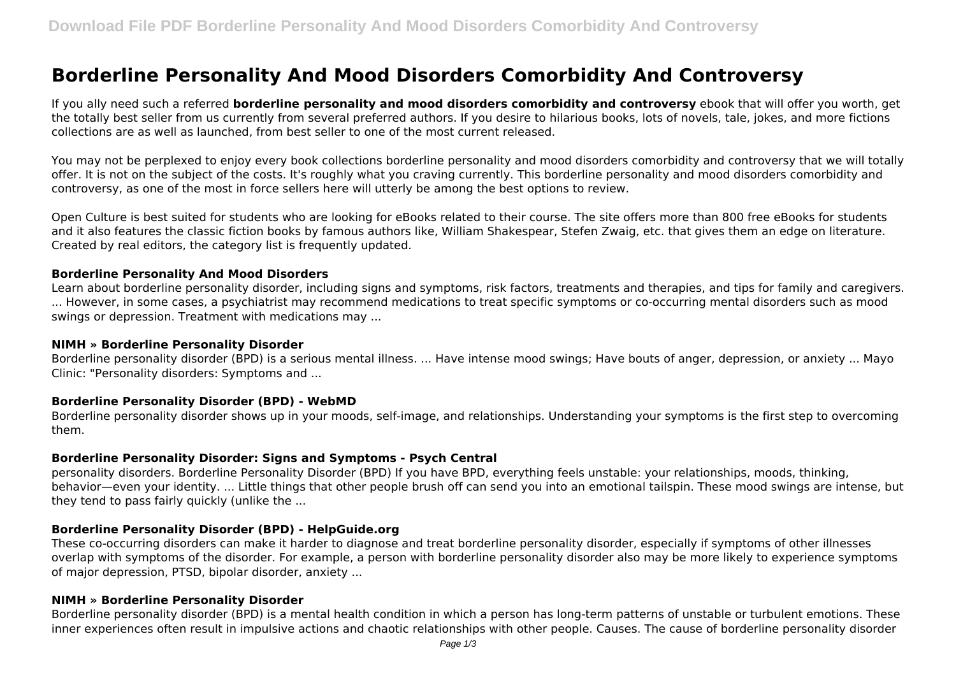# **Borderline Personality And Mood Disorders Comorbidity And Controversy**

If you ally need such a referred **borderline personality and mood disorders comorbidity and controversy** ebook that will offer you worth, get the totally best seller from us currently from several preferred authors. If you desire to hilarious books, lots of novels, tale, jokes, and more fictions collections are as well as launched, from best seller to one of the most current released.

You may not be perplexed to enjoy every book collections borderline personality and mood disorders comorbidity and controversy that we will totally offer. It is not on the subject of the costs. It's roughly what you craving currently. This borderline personality and mood disorders comorbidity and controversy, as one of the most in force sellers here will utterly be among the best options to review.

Open Culture is best suited for students who are looking for eBooks related to their course. The site offers more than 800 free eBooks for students and it also features the classic fiction books by famous authors like, William Shakespear, Stefen Zwaig, etc. that gives them an edge on literature. Created by real editors, the category list is frequently updated.

#### **Borderline Personality And Mood Disorders**

Learn about borderline personality disorder, including signs and symptoms, risk factors, treatments and therapies, and tips for family and caregivers. ... However, in some cases, a psychiatrist may recommend medications to treat specific symptoms or co-occurring mental disorders such as mood swings or depression. Treatment with medications may ...

#### **NIMH » Borderline Personality Disorder**

Borderline personality disorder (BPD) is a serious mental illness. ... Have intense mood swings; Have bouts of anger, depression, or anxiety ... Mayo Clinic: "Personality disorders: Symptoms and ...

#### **Borderline Personality Disorder (BPD) - WebMD**

Borderline personality disorder shows up in your moods, self-image, and relationships. Understanding your symptoms is the first step to overcoming them.

#### **Borderline Personality Disorder: Signs and Symptoms - Psych Central**

personality disorders. Borderline Personality Disorder (BPD) If you have BPD, everything feels unstable: your relationships, moods, thinking, behavior—even your identity. ... Little things that other people brush off can send you into an emotional tailspin. These mood swings are intense, but they tend to pass fairly quickly (unlike the ...

#### **Borderline Personality Disorder (BPD) - HelpGuide.org**

These co-occurring disorders can make it harder to diagnose and treat borderline personality disorder, especially if symptoms of other illnesses overlap with symptoms of the disorder. For example, a person with borderline personality disorder also may be more likely to experience symptoms of major depression, PTSD, bipolar disorder, anxiety ...

#### **NIMH » Borderline Personality Disorder**

Borderline personality disorder (BPD) is a mental health condition in which a person has long-term patterns of unstable or turbulent emotions. These inner experiences often result in impulsive actions and chaotic relationships with other people. Causes. The cause of borderline personality disorder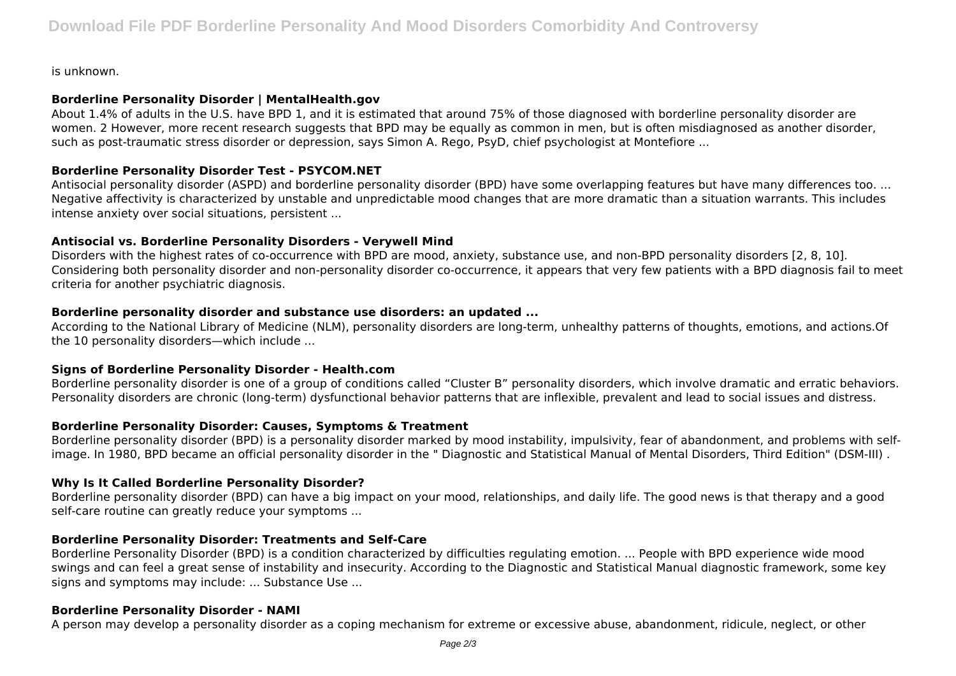is unknown.

#### **Borderline Personality Disorder | MentalHealth.gov**

About 1.4% of adults in the U.S. have BPD 1, and it is estimated that around 75% of those diagnosed with borderline personality disorder are women. 2 However, more recent research suggests that BPD may be equally as common in men, but is often misdiagnosed as another disorder, such as post-traumatic stress disorder or depression, says Simon A. Rego, PsyD, chief psychologist at Montefiore ...

## **Borderline Personality Disorder Test - PSYCOM.NET**

Antisocial personality disorder (ASPD) and borderline personality disorder (BPD) have some overlapping features but have many differences too. ... Negative affectivity is characterized by unstable and unpredictable mood changes that are more dramatic than a situation warrants. This includes intense anxiety over social situations, persistent ...

## **Antisocial vs. Borderline Personality Disorders - Verywell Mind**

Disorders with the highest rates of co-occurrence with BPD are mood, anxiety, substance use, and non-BPD personality disorders [2, 8, 10]. Considering both personality disorder and non-personality disorder co-occurrence, it appears that very few patients with a BPD diagnosis fail to meet criteria for another psychiatric diagnosis.

#### **Borderline personality disorder and substance use disorders: an updated ...**

According to the National Library of Medicine (NLM), personality disorders are long-term, unhealthy patterns of thoughts, emotions, and actions.Of the 10 personality disorders—which include ...

## **Signs of Borderline Personality Disorder - Health.com**

Borderline personality disorder is one of a group of conditions called "Cluster B" personality disorders, which involve dramatic and erratic behaviors. Personality disorders are chronic (long-term) dysfunctional behavior patterns that are inflexible, prevalent and lead to social issues and distress.

## **Borderline Personality Disorder: Causes, Symptoms & Treatment**

Borderline personality disorder (BPD) is a personality disorder marked by mood instability, impulsivity, fear of abandonment, and problems with selfimage. In 1980, BPD became an official personality disorder in the " Diagnostic and Statistical Manual of Mental Disorders, Third Edition" (DSM-III) .

## **Why Is It Called Borderline Personality Disorder?**

Borderline personality disorder (BPD) can have a big impact on your mood, relationships, and daily life. The good news is that therapy and a good self-care routine can greatly reduce your symptoms ...

## **Borderline Personality Disorder: Treatments and Self-Care**

Borderline Personality Disorder (BPD) is a condition characterized by difficulties regulating emotion. ... People with BPD experience wide mood swings and can feel a great sense of instability and insecurity. According to the Diagnostic and Statistical Manual diagnostic framework, some key signs and symptoms may include: ... Substance Use ...

#### **Borderline Personality Disorder - NAMI**

A person may develop a personality disorder as a coping mechanism for extreme or excessive abuse, abandonment, ridicule, neglect, or other